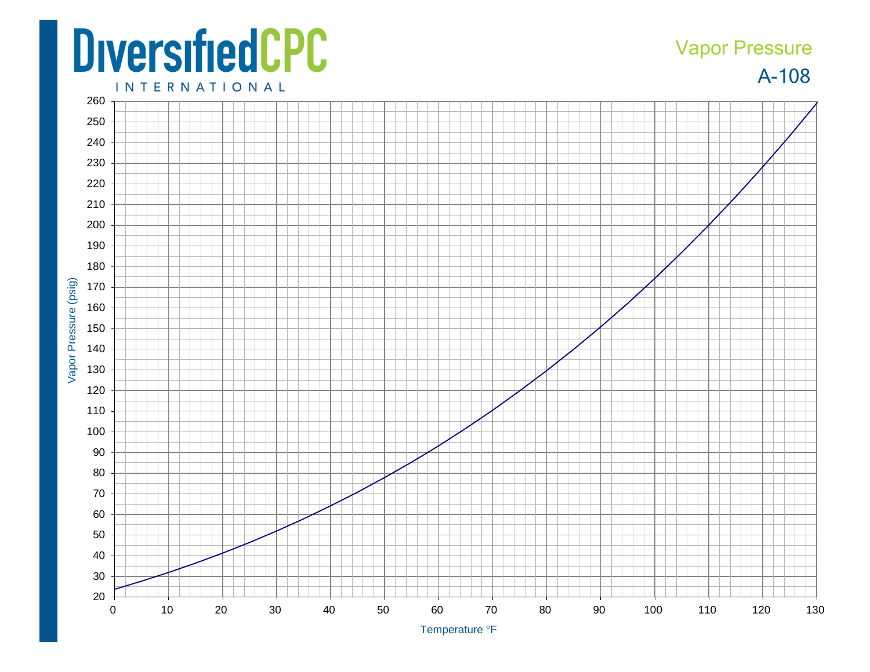## **DiversifiedCPC**

## A -108 Vapor Pressure

**INTERNATIONAL**